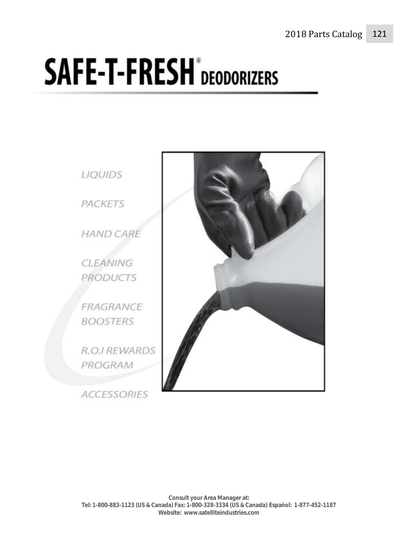# **SAFE-T-FRESH** DEODORIZERS

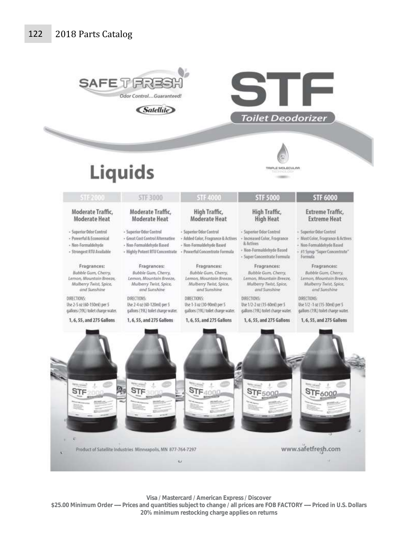

**Visa / Mastercard / American Express / Discover** 

\$25.00 Minimum Order ---- Prices and quantities subject to change / all prices are FOB FACTORY ---- Priced in U.S. Dollars **20% minimum restocking charge applies on returns**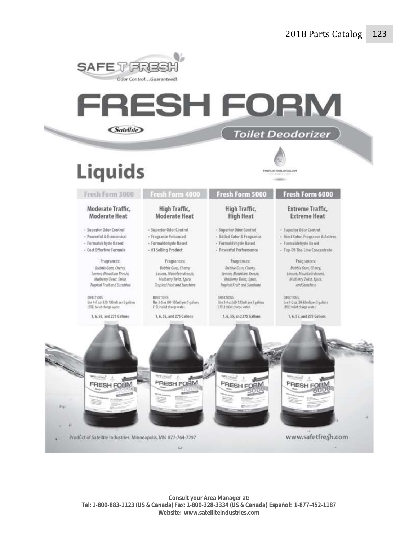

# FRESH FORM *<u>Satellite</u>* **Toilet Deodorizer**

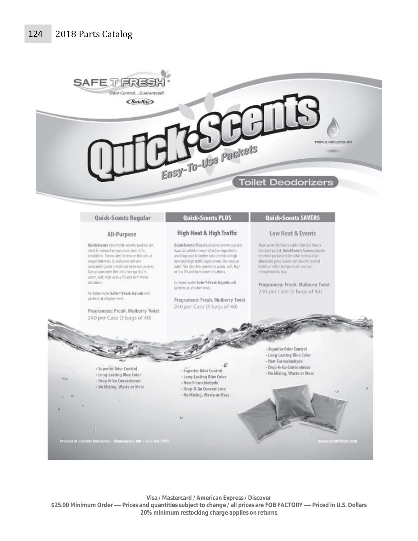

#### Quick-Scents Regular

#### All-Purpose

QuickScents disolvable prester packets are Ideal for cormal temperature and traffic conditions. Formulated to release biocldes at staged intervals. QuickScents delivers outstanding odor protection between services. Our unique outer film dissolves quickly in warm, soft, high or low PH and hard water citications.

For brine water Safe-T-Fresh Boulds will perform at a higher level.

Fragrances: Fresh, Mulberry Twist 240 per Case (5 bags of 48)

### **Quick-Scents PLUS**

#### High Heat & High Traffic

QuickScents Plus dissoluble powder packets have an added amount of active ingredurity and fragrance for better odor control in high heat and high traffic applications. Our unique outer film dissolves quickly in warm, soft, high or low PH and hard water sthustions.

for bring water Safe-T-Fresh Repairly will perform at a higher level.

Fragrances: Fresh, Mulberry Twist 240 per Case (5 bags of 48)

#### **Quick-Scents SAVERS**

#### Low Heat & Events

More powerful than a tablet, but less than a standard packet, QuickScents Savers provide excellent portable tollet odor centrol at an affondable price, Savers are ideal for special eventuor when temperatures are cool throughout the day.

Fragrances: Fresh, Mulberry Twist 240 per Case (S bags of 48)



Visa / Mastercard / American Express / Discover \$25.00 Minimum Order - Prices and quantities subject to change / all prices are FOB FACTORY - Priced in U.S. Dollars 20% minimum restocking charge applies on returns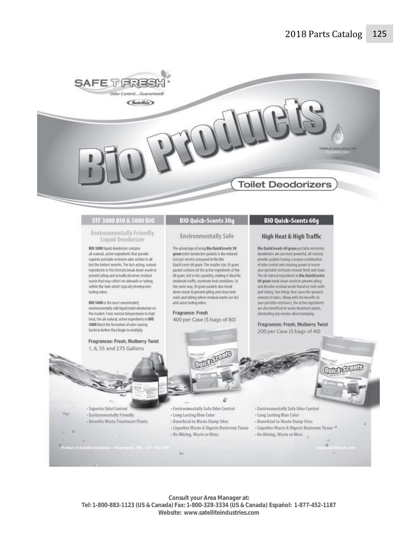

#### STF 3000 BIO & 5000 BIO

#### **Environmentally Friendly** Liquid Deodorizer

BIO 3000 liquid deaderizer contains all-natural, active ingredients that provide superior portable restroom odor control in all but the hottest months. The fast-acting, natural Ingredients in this formula break down waste to prevent piling and actually dissolves residual waste that may collect on sidewalls or tubing within the tank which typically develop into lasting odors.

BIO 5000 is the most concentrated, environmentally safe liquid toilet deodorizer on the market. From normal temperatures to high heat, the all-natural, active ingredients in BIO 5000 block the formation of ador causing bacteria before they begin to multiply.

Fragrances: Fresh, Mulberry Twist 1, 6, 55 and 275 Gallons

## **BIO Quick-Scents 30g**

#### **Environmentally Safe**

The advantage of using Bio QuickScents 30 gram toilet deodorizer packets is the reduced cost per service compared to the Bio QuickScents 60 gram. The smaller size 30 gram packet contains all the active ingredients of the 60 gram, but in less quantity, making it ideal for moderate traffic, moderate heat conditions. In the same way, 30 gram padorts also break down waste to prevent piting and clean tank walls and tubing where residual waste can dry and cause lasting odors.

Fragrance: Fresh 400 per Case (5 bags of 80)

#### **BIO Quick-Scents 60g**

#### High Heat & High Traffic

Bio QuickScents 60 gram portable restrooms deodorums are our most powerful, all-natural, powder packets having a unique combination of ador control and cleaning power to insure your portable restrooms remain fresh and clean. The all-natural ingredients in Bio QuickScents 60-gram break down waste to prevent piling and disselve residual waste found on tank walls and futung, two things that cause the greatest. amount of odors. Along with the benefits to your portable restrooms, the active ingredients are also beneficial to waste treatment plants, eliminating any worries about dumping.

Fragrances: Fresh, Mulberry Twist 200 per Case (5 bags of 40)

OTHER SECTION

- Superior Odor Control - Environmentally Friendly - Benefits Waste Treatment Plants

 $v_{\rm C}$ 

× w

#### $\mathcal{Q}$

- Environmentally Safe Odor Control
- Long Lasting Blue Color
- Beneficial to Waste Dump Sites
- Liquefies Waste & Digests Restroom Tissue
- No Mixing, Wastn or Mess

ü

- Environmentally Safe Odor Control - Long Lasting Blue Color
- 
- Beneficial to Waste Dump Sites + Liquefies Waste & Digests Restroom Tissue >>
- No Mixing, Waste or Mess

Consult your Area Manager at: Tel: 1-800-883-1123 (US & Canada) Fax: 1-800-328-3334 (US & Canada) Español: 1-877-452-1187 Website: www.satelliteindustries.com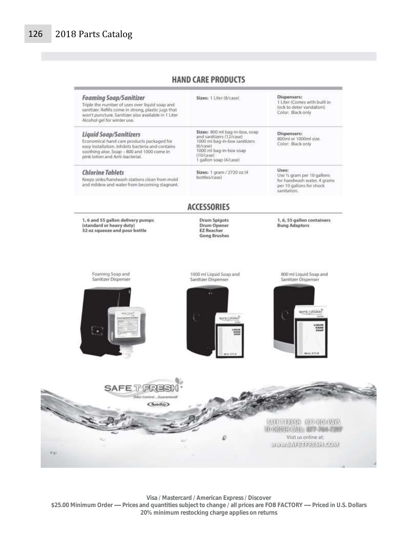ing.

# **HAND CARE PRODUCTS**

| Sizes: 1 Liter (8/case)                                                                                                                                                      | Dispensers:<br>1 Liter (Comes with built in<br>lock to deter vandalism)<br>Color: Black only                 |
|------------------------------------------------------------------------------------------------------------------------------------------------------------------------------|--------------------------------------------------------------------------------------------------------------|
| Sizes: 800 ml bag-in-box, soap<br>and sanitizers (12/case)<br>1000 ml bag-in-box sanitizers<br>(6/case)<br>1000 ml bag-in-box soap<br>$(10$ /case)<br>1 gallon soap (4/case) | Dispensers:<br>800ml or 1000ml size.<br>Color: Black only                                                    |
| Sizes: 1 gram / 2720 oz (4)<br>bottles/case)                                                                                                                                 | Uses:<br>Use % gram per 10 gallons<br>for handwash water. 4 grams<br>per 10 gallons for shock<br>sanitation. |
| <b>ACCESSORIES</b>                                                                                                                                                           |                                                                                                              |
| Drum Spigots<br>Drum Opener<br><b>EZ Reacher</b><br><b>Gong Brushes</b>                                                                                                      | 1, 6, 55 gallon containers<br><b>Bung Adaptors</b>                                                           |
|                                                                                                                                                                              |                                                                                                              |
| 1000 ml Liquid Soap and<br>Sanitizer Dispenser                                                                                                                               | B00 ml Liquid Soap and<br>Sanitizer Dispenser                                                                |
|                                                                                                                                                                              |                                                                                                              |
| <b>MAPRICRISS</b><br>LIQUES<br>1044                                                                                                                                          | <b>BAFK LOUGHE!</b><br><b>LIGUID</b><br><b>HAND</b><br>SOAP                                                  |
|                                                                                                                                                                              | <b>REAL AFFLIC</b>                                                                                           |
|                                                                                                                                                                              |                                                                                                              |
|                                                                                                                                                                              |                                                                                                              |
|                                                                                                                                                                              |                                                                                                              |
|                                                                                                                                                                              |                                                                                                              |

**Visa / Mastercard / American Express / Discover \$25.00 Minimum Order ----- Prices and quantities subject to change / all prices are FOB FACTORY ----- Priced in U.S. Dollars 20% minimum restocking charge applies on returns**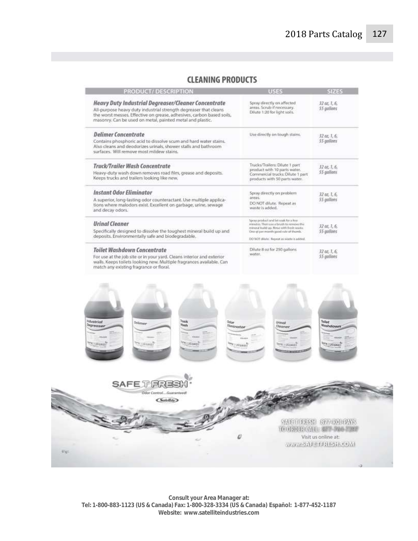## **CLEANING PRODUCTS**

| PRODUCT/DESCRIPTION                                                                                                                                                                                                                                           | <b>USES</b>                                                                                                                                                                                                     | <b>SIZES</b>               |
|---------------------------------------------------------------------------------------------------------------------------------------------------------------------------------------------------------------------------------------------------------------|-----------------------------------------------------------------------------------------------------------------------------------------------------------------------------------------------------------------|----------------------------|
| Heavy Duty Industrial Degreaser/Cleaner Concentrate<br>All-purpose heavy duty industrial strength degreaser that cleans<br>the worst messes. Effective on grease, adhesives, carbon based soils,<br>masonry. Can be used on metal, painted metal and plastic. | Spray directly on affected<br>areas. Scrub if necessary.<br>Dilute 1:20 for light soils.                                                                                                                        | 32 oz. 1, 6,<br>55 aallons |
| <b>Delimer</b> Concentrate<br>Contains phosphoric acid to dissolve scum and hard water stains.<br>Also cleans and deodorizes urinals, shower stalls and bathroom<br>surfaces. Will remove most mildew stains.                                                 | Use directly on tough stains.                                                                                                                                                                                   | 32.02, 1.6.<br>55 gallons  |
| Truck/Trailer Wash Concentrate<br>Heavy-duty wash down removes road film, grease and deposits.<br>Keeps trucks and trailers looking like new.                                                                                                                 | Trucks/Trailers: Dilute 1 part<br>product with 10 parts water.<br>Commercial trucks: Dilute 1 part<br>products with 50 parts water.                                                                             | 32 oz. 1. 6.<br>55 anllons |
| <b>Instant Odor Eliminator</b><br>A superior, long-lasting odor counteractant. Use multiple applica-<br>tions where malodors exist. Excellent on garbage, urine, sewage<br>and decay odors.                                                                   | Spray directly on problem<br><b>AFPAK</b><br>DO NOT dilute. Repeat as<br>waste is added.                                                                                                                        | 32 or. 1, 6,<br>55 antions |
| <b>Urinal Cleaner</b><br>Specifically designed to dissolve the toughest mineral build up and<br>deposits. Environmentally safe and biodegradable.                                                                                                             | Spray product and let soak to a few<br>misutes. Then use a boych to remove the<br>mineral build up. Rinse with feeds waste.<br>One gi per month good rule of thumb.<br>DO NOT (Blute: Repost at worte it added. | 32 oz. 1, 6,<br>55 gallons |
| Tailet Washdown Concentrate<br>For use at the job site or in your yard. Cleans interior and exterior<br>walls. Keeps toilets looking new. Multiple fragrances available. Can<br>match any politics framance or floral                                         | Dilute 8 oz for 250 gallons<br>water.                                                                                                                                                                           | 32 oz. 1, 6,<br>55 aallons |





**Consult your Area Manager at: Tel: 1-800-883-1123 (US & Canada) Fax: 1-800-328-3334 (US & Canada) Español: 1-877-452-1187 Website: www.satelliteindustries.com**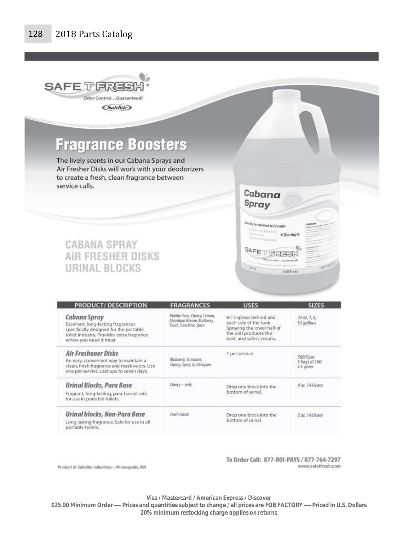

**Fragrance Boosters** 

The lively scents in our Cabana Sprays and Air Fresher Disks will work with your deodorizers to create a fresh, clean fragrance between service calls.

# **CABANA SPRAY AIR FRESHER DISKS** URINAL BLOCKS



To Order Call: 877-ROI-PAYS / 877-764-7297 www.safetfresh.com

Cabana Spray

intly Foresulated to Provide:

SAFE T FREED

**Pilitia** 

**Control** Library

 $Satab$ 

folkfreet

 $m^{\mu}$ 

Product of Satellite Industries -- Minneapolis, MN

**Visa / Mastercard / American Express / Discover** 

\$25.00 Minimum Order ----- Prices and quantities subject to change / all prices are FOB FACTORY -------- Priced in U.S. Dollars **20% minimum restocking charge applies on returns**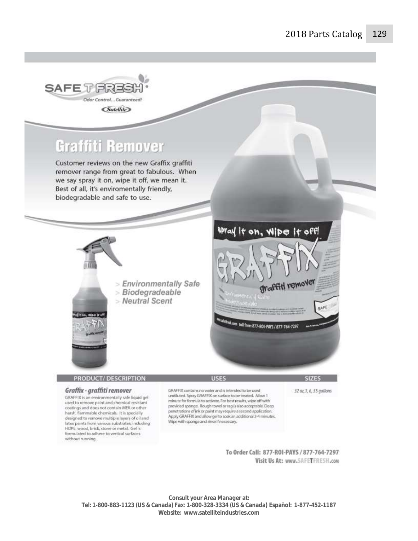

**Consult your Area Manager at: Tel: 1-800-883-1123 (US & Canada) Fax: 1-800-328-3334 (US & Canada) Español: 1-877-452-1187 Website: www.satelliteindustries.com**